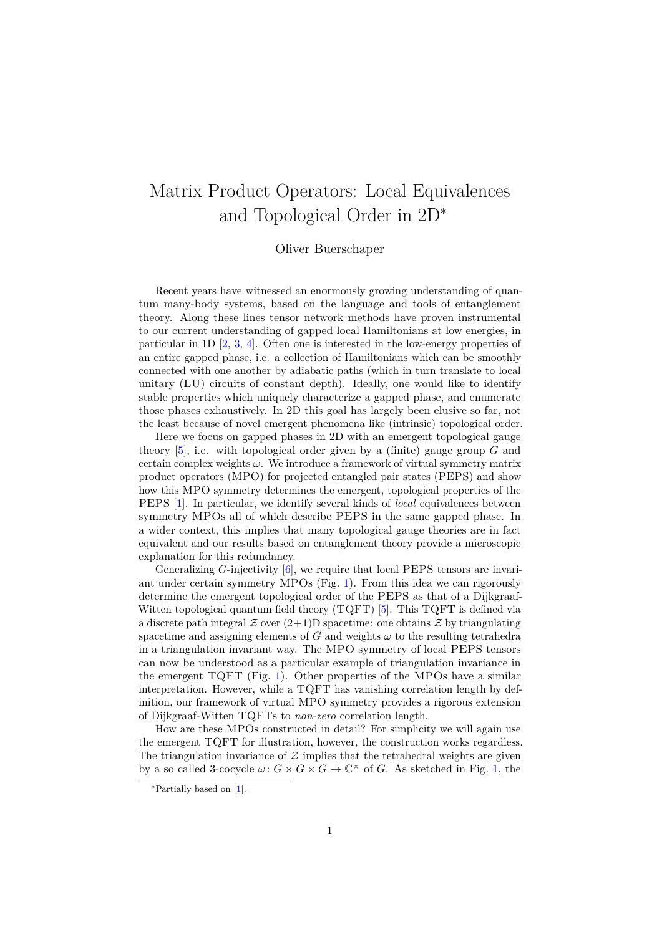## Matrix Product Operators: Local Equivalences and Topological Order in 2D<sup>∗</sup>

## Oliver Buerschaper

Recent years have witnessed an enormously growing understanding of quantum many-body systems, based on the language and tools of entanglement theory. Along these lines tensor network methods have proven instrumental to our current understanding of gapped local Hamiltonians at low energies, in particular in 1D  $[2, 3, 4]$  $[2, 3, 4]$  $[2, 3, 4]$  $[2, 3, 4]$  $[2, 3, 4]$ . Often one is interested in the low-energy properties of an entire gapped phase, i.e. a collection of Hamiltonians which can be smoothly connected with one another by adiabatic paths (which in turn translate to local unitary (LU) circuits of constant depth). Ideally, one would like to identify stable properties which uniquely characterize a gapped phase, and enumerate those phases exhaustively. In 2D this goal has largely been elusive so far, not the least because of novel emergent phenomena like (intrinsic) topological order.

Here we focus on gapped phases in 2D with an emergent topological gauge theory [\[5\]](#page-3-3), i.e. with topological order given by a (finite) gauge group *G* and certain complex weights *ω*. We introduce a framework of virtual symmetry matrix product operators (MPO) for projected entangled pair states (PEPS) and show how this MPO symmetry determines the emergent, topological properties of the PEPS [\[1\]](#page-3-4). In particular, we identify several kinds of *local* equivalences between symmetry MPOs all of which describe PEPS in the same gapped phase. In a wider context, this implies that many topological gauge theories are in fact equivalent and our results based on entanglement theory provide a microscopic explanation for this redundancy.

Generalizing *G*-injectivity [\[6\]](#page-3-5), we require that local PEPS tensors are invariant under certain symmetry MPOs (Fig. [1\)](#page-1-0). From this idea we can rigorously determine the emergent topological order of the PEPS as that of a Dijkgraaf-Witten topological quantum field theory  $(TQFT)$  [\[5\]](#page-3-3). This  $TQFT$  is defined via a discrete path integral  $\mathcal Z$  over  $(2+1)$ D spacetime: one obtains  $\mathcal Z$  by triangulating spacetime and assigning elements of  $G$  and weights  $\omega$  to the resulting tetrahedra in a triangulation invariant way. The MPO symmetry of local PEPS tensors can now be understood as a particular example of triangulation invariance in the emergent TQFT (Fig. [1\)](#page-1-0). Other properties of the MPOs have a similar interpretation. However, while a TQFT has vanishing correlation length by definition, our framework of virtual MPO symmetry provides a rigorous extension of Dijkgraaf-Witten TQFTs to *non-zero* correlation length.

How are these MPOs constructed in detail? For simplicity we will again use the emergent TQFT for illustration, however, the construction works regardless. The triangulation invariance of  $Z$  implies that the tetrahedral weights are given by a so called 3-cocycle  $\omega: G \times G \times G \to \mathbb{C}^{\times}$  of *G*. As sketched in Fig. [1,](#page-1-0) the

<sup>∗</sup>Partially based on [\[1\]](#page-3-4).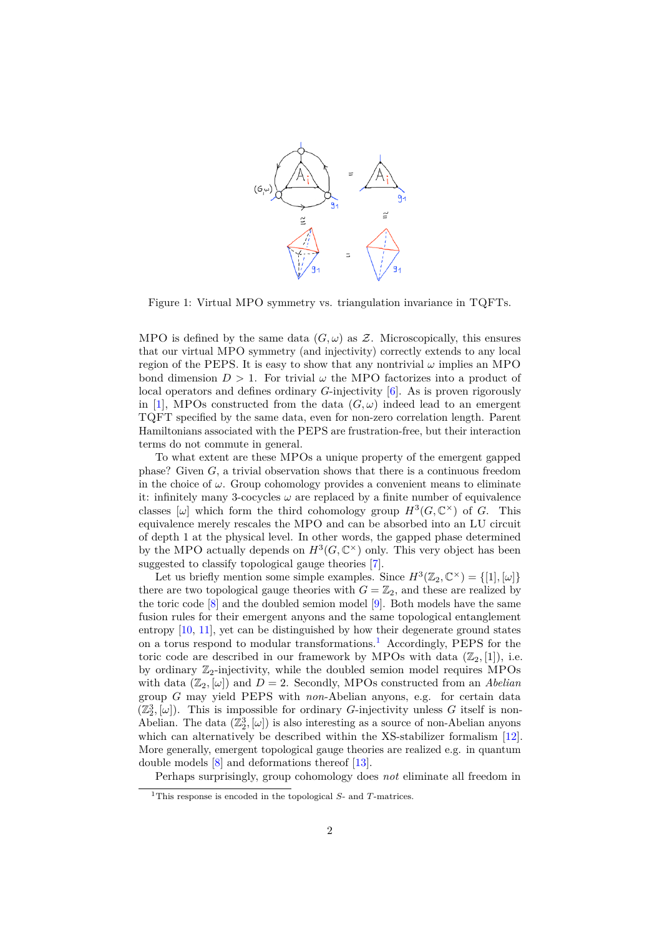

<span id="page-1-0"></span>Figure 1: Virtual MPO symmetry vs. triangulation invariance in TQFTs.

MPO is defined by the same data  $(G, \omega)$  as Z. Microscopically, this ensures that our virtual MPO symmetry (and injectivity) correctly extends to any local region of the PEPS. It is easy to show that any nontrivial  $\omega$  implies an MPO bond dimension  $D > 1$ . For trivial  $\omega$  the MPO factorizes into a product of local operators and defines ordinary *G*-injectivity [\[6\]](#page-3-5). As is proven rigorously in [\[1\]](#page-3-4), MPOs constructed from the data  $(G, \omega)$  indeed lead to an emergent TQFT specified by the same data, even for non-zero correlation length. Parent Hamiltonians associated with the PEPS are frustration-free, but their interaction terms do not commute in general.

To what extent are these MPOs a unique property of the emergent gapped phase? Given *G*, a trivial observation shows that there is a continuous freedom in the choice of  $\omega$ . Group cohomology provides a convenient means to eliminate it: infinitely many 3-cocycles *ω* are replaced by a finite number of equivalence classes  $[\omega]$  which form the third cohomology group  $H^3(G, \mathbb{C}^\times)$  of *G*. This equivalence merely rescales the MPO and can be absorbed into an LU circuit of depth 1 at the physical level. In other words, the gapped phase determined by the MPO actually depends on  $H^3(G, \mathbb{C}^\times)$  only. This very object has been suggested to classify topological gauge theories [\[7\]](#page-3-6).

Let us briefly mention some simple examples. Since  $H^3(\mathbb{Z}_2,\mathbb{C}^\times) = \{[1],[\omega]\}$ there are two topological gauge theories with  $G = \mathbb{Z}_2$ , and these are realized by the toric code [\[8\]](#page-3-7) and the doubled semion model [\[9\]](#page-3-8). Both models have the same fusion rules for their emergent anyons and the same topological entanglement entropy [\[10,](#page-3-9) [11\]](#page-3-10), yet can be distinguished by how their degenerate ground states on a torus respond to modular transformations.[1](#page-1-1) Accordingly, PEPS for the toric code are described in our framework by MPOs with data  $(\mathbb{Z}_2, [1])$ , i.e. by ordinary  $\mathbb{Z}_2$ -injectivity, while the doubled semion model requires MPOs with data  $(\mathbb{Z}_2, [\omega])$  and  $D = 2$ . Secondly, MPOs constructed from an *Abelian* group *G* may yield PEPS with *non*-Abelian anyons, e.g. for certain data  $(\mathbb{Z}_2^3, [\omega])$ . This is impossible for ordinary *G*-injectivity unless *G* itself is non-Abelian. The data  $(\mathbb{Z}_2^3, [\omega])$  is also interesting as a source of non-Abelian anyons which can alternatively be described within the XS-stabilizer formalism [\[12\]](#page-3-11). More generally, emergent topological gauge theories are realized e.g. in quantum double models [\[8\]](#page-3-7) and deformations thereof [\[13\]](#page-3-12).

Perhaps surprisingly, group cohomology does *not* eliminate all freedom in

<span id="page-1-1"></span><sup>&</sup>lt;sup>1</sup>This response is encoded in the topological *S*- and *T*-matrices.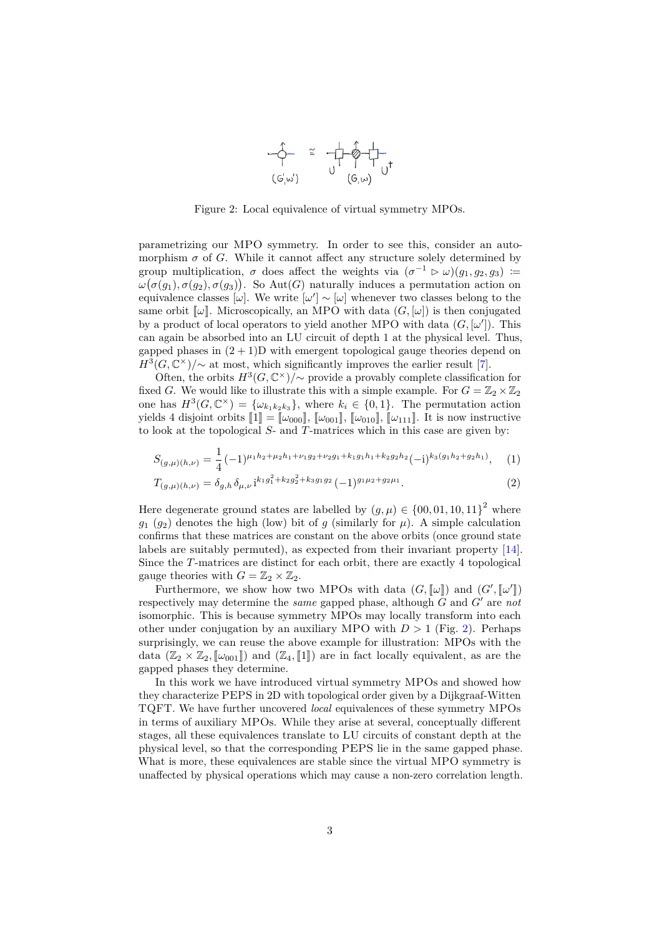

<span id="page-2-0"></span>Figure 2: Local equivalence of virtual symmetry MPOs.

parametrizing our MPO symmetry. In order to see this, consider an automorphism  $\sigma$  of *G*. While it cannot affect any structure solely determined by group multiplication,  $\sigma$  does affect the weights via  $(\sigma^{-1} \triangleright \omega)(g_1, g_2, g_3)$  :=  $ω(σ(g_1), σ(g_2), σ(g_3))$ . So Aut(*G*) naturally induces a permutation action on equivalence classes [ $\omega$ ]. We write  $[\omega'] \sim [\omega]$  whenever two classes belong to the same orbit  $\llbracket \omega \rrbracket$ . Microscopically, an MPO with data  $(G, [\omega])$  is then conjugated by a product of local operators to yield another MPO with data  $(G, [\omega'])$ . This can again be absorbed into an LU circuit of depth 1 at the physical level. Thus, gapped phases in  $(2 + 1)$ D with emergent topological gauge theories depend on  $H^3(G,\mathbb{C}^\times)/\sim$  at most, which significantly improves the earlier result [\[7\]](#page-3-6).

Often, the orbits  $H^3(G, \mathbb{C}^\times)/\sim$  provide a provably complete classification for fixed *G*. We would like to illustrate this with a simple example. For  $G = \mathbb{Z}_2 \times \mathbb{Z}_2$ one has  $H^3(G, \mathbb{C}^\times) = {\omega_{k_1 k_2 k_3}}$ , where  $k_i \in \{0, 1\}$ . The permutation action yields 4 disjoint orbits  $\llbracket 1 \rrbracket = \llbracket \omega_{000} \rrbracket$ ,  $\llbracket \omega_{001} \rrbracket$ ,  $\llbracket \omega_{010} \rrbracket$ ,  $\llbracket \omega_{111} \rrbracket$ . It is now instructive to look at the topological *S*- and *T*-matrices which in this case are given by:

$$
S_{(g,\mu)(h,\nu)} = \frac{1}{4}(-1)^{\mu_1 h_2 + \mu_2 h_1 + \nu_1 g_2 + \nu_2 g_1 + k_1 g_1 h_1 + k_2 g_2 h_2}(-1)^{k_3(g_1 h_2 + g_2 h_1)}, \quad (1)
$$

$$
T_{(g,\mu)(h,\nu)} = \delta_{g,h} \delta_{\mu,\nu} i^{k_1 g_1^2 + k_2 g_2^2 + k_3 g_1 g_2} (-1)^{g_1 \mu_2 + g_2 \mu_1}.
$$
 (2)

Here degenerate ground states are labelled by  $(g, \mu) \in \{00, 01, 10, 11\}^2$  where  $g_1$  ( $g_2$ ) denotes the high (low) bit of *g* (similarly for  $\mu$ ). A simple calculation confirms that these matrices are constant on the above orbits (once ground state labels are suitably permuted), as expected from their invariant property [\[14\]](#page-4-0). Since the *T*-matrices are distinct for each orbit, there are exactly 4 topological gauge theories with  $G = \mathbb{Z}_2 \times \mathbb{Z}_2$ .

Furthermore, we show how two MPOs with data  $(G, [\![\omega]\!])$  and  $(G', [\![\omega']\!])$ respectively may determine the *same* gapped phase, although  $G$  and  $G'$  are  $not$ isomorphic. This is because symmetry MPOs may locally transform into each other under conjugation by an auxiliary MPO with  $D > 1$  (Fig. [2\)](#page-2-0). Perhaps surprisingly, we can reuse the above example for illustration: MPOs with the data  $(\mathbb{Z}_2 \times \mathbb{Z}_2, [\![\omega_{001}]\!])$  and  $(\mathbb{Z}_4, [\![1]\!])$  are in fact locally equivalent, as are the gapped phases they determine.

In this work we have introduced virtual symmetry MPOs and showed how they characterize PEPS in 2D with topological order given by a Dijkgraaf-Witten TQFT. We have further uncovered *local* equivalences of these symmetry MPOs in terms of auxiliary MPOs. While they arise at several, conceptually different stages, all these equivalences translate to LU circuits of constant depth at the physical level, so that the corresponding PEPS lie in the same gapped phase. What is more, these equivalences are stable since the virtual MPO symmetry is unaffected by physical operations which may cause a non-zero correlation length.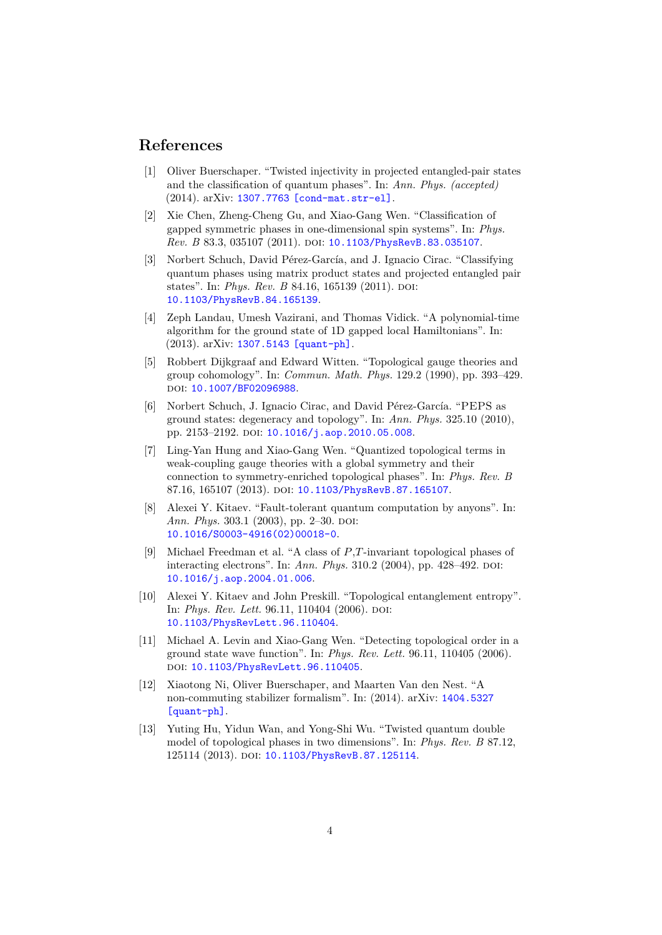## **References**

- <span id="page-3-4"></span>[1] Oliver Buerschaper. "Twisted injectivity in projected entangled-pair states and the classification of quantum phases". In: *Ann. Phys. (accepted)* (2014). arXiv: [1307.7763 \[cond-mat.str-el\]](http://arxiv.org/abs/1307.7763).
- <span id="page-3-0"></span>[2] Xie Chen, Zheng-Cheng Gu, and Xiao-Gang Wen. "Classification of gapped symmetric phases in one-dimensional spin systems". In: *Phys. Rev. B* 83.3, 035107 (2011). poi: [10.1103/PhysRevB.83.035107](http://dx.doi.org/10.1103/PhysRevB.83.035107).
- <span id="page-3-1"></span>[3] Norbert Schuch, David Pérez-García, and J. Ignacio Cirac. "Classifying quantum phases using matrix product states and projected entangled pair states". In: *Phys. Rev. B* 84.16, 165139 (2011). DOI: [10.1103/PhysRevB.84.165139](http://dx.doi.org/10.1103/PhysRevB.84.165139).
- <span id="page-3-2"></span>[4] Zeph Landau, Umesh Vazirani, and Thomas Vidick. "A polynomial-time algorithm for the ground state of 1D gapped local Hamiltonians". In: (2013). arXiv: [1307.5143 \[quant-ph\]](http://arxiv.org/abs/1307.5143).
- <span id="page-3-3"></span>[5] Robbert Dijkgraaf and Edward Witten. "Topological gauge theories and group cohomology". In: *Commun. Math. Phys.* 129.2 (1990), pp. 393–429. doi: [10.1007/BF02096988](http://dx.doi.org/10.1007/BF02096988).
- <span id="page-3-5"></span>[6] Norbert Schuch, J. Ignacio Cirac, and David Pérez-García. "PEPS as ground states: degeneracy and topology". In: *Ann. Phys.* 325.10 (2010), pp. 2153–2192. pol: [10.1016/j.aop.2010.05.008](http://dx.doi.org/10.1016/j.aop.2010.05.008).
- <span id="page-3-6"></span>[7] Ling-Yan Hung and Xiao-Gang Wen. "Quantized topological terms in weak-coupling gauge theories with a global symmetry and their connection to symmetry-enriched topological phases". In: *Phys. Rev. B* 87.16, 165107 (2013). DOI: [10.1103/PhysRevB.87.165107](http://dx.doi.org/10.1103/PhysRevB.87.165107).
- <span id="page-3-7"></span>[8] Alexei Y. Kitaev. "Fault-tolerant quantum computation by anyons". In: *Ann. Phys.* 303.1 (2003), pp. 2–30. DOI: [10.1016/S0003-4916\(02\)00018-0](http://dx.doi.org/10.1016/S0003-4916(02)00018-0).
- <span id="page-3-8"></span>[9] Michael Freedman et al. "A class of *P*,*T*-invariant topological phases of interacting electrons". In: *Ann. Phys.* 310.2 (2004), pp. 428–492. DOI: [10.1016/j.aop.2004.01.006](http://dx.doi.org/10.1016/j.aop.2004.01.006).
- <span id="page-3-9"></span>[10] Alexei Y. Kitaev and John Preskill. "Topological entanglement entropy". In: *Phys. Rev. Lett.* 96.11, 110404 (2006). DOI: [10.1103/PhysRevLett.96.110404](http://dx.doi.org/10.1103/PhysRevLett.96.110404).
- <span id="page-3-10"></span>[11] Michael A. Levin and Xiao-Gang Wen. "Detecting topological order in a ground state wave function". In: *Phys. Rev. Lett.* 96.11, 110405 (2006). doi: [10.1103/PhysRevLett.96.110405](http://dx.doi.org/10.1103/PhysRevLett.96.110405).
- <span id="page-3-11"></span>[12] Xiaotong Ni, Oliver Buerschaper, and Maarten Van den Nest. "A non-commuting stabilizer formalism". In: (2014). arXiv: [1404.5327](http://arxiv.org/abs/1404.5327) [\[quant-ph\]](http://arxiv.org/abs/1404.5327).
- <span id="page-3-12"></span>[13] Yuting Hu, Yidun Wan, and Yong-Shi Wu. "Twisted quantum double model of topological phases in two dimensions". In: *Phys. Rev. B* 87.12, 125114 (2013). DOI: [10.1103/PhysRevB.87.125114](http://dx.doi.org/10.1103/PhysRevB.87.125114).